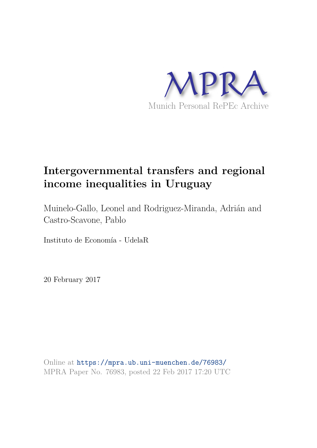

# **Intergovernmental transfers and regional income inequalities in Uruguay**

Muinelo-Gallo, Leonel and Rodriguez-Miranda, Adrián and Castro-Scavone, Pablo

Instituto de Economía - UdelaR

20 February 2017

Online at https://mpra.ub.uni-muenchen.de/76983/ MPRA Paper No. 76983, posted 22 Feb 2017 17:20 UTC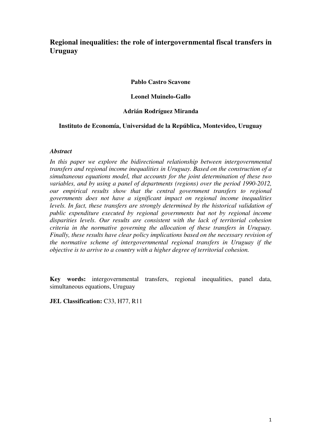# **Regional inequalities: the role of intergovernmental fiscal transfers in Uruguay**

**Pablo Castro Scavone** 

**Leonel Muinelo-Gallo** 

#### **Adrián Rodríguez Miranda**

#### **Instituto de Economía, Universidad de la República, Montevideo, Uruguay**

#### *Abstract*

*In this paper we explore the bidirectional relationship between intergovernmental transfers and regional income inequalities in Uruguay. Based on the construction of a simultaneous equations model, that accounts for the joint determination of these two variables, and by using a panel of departments (regions) over the period 1990-2012, our empirical results show that the central government transfers to regional governments does not have a significant impact on regional income inequalities levels. In fact, these transfers are strongly determined by the historical validation of public expenditure executed by regional governments but not by regional income disparities levels. Our results are consistent with the lack of territorial cohesion criteria in the normative governing the allocation of these transfers in Uruguay. Finally, these results have clear policy implications based on the necessary revision of the normative scheme of intergovernmental regional transfers in Uruguay if the objective is to arrive to a country with a higher degree of territorial cohesion.* 

**Key words:** intergovernmental transfers, regional inequalities, panel data, simultaneous equations, Uruguay

**JEL Classification:** C33, H77, R11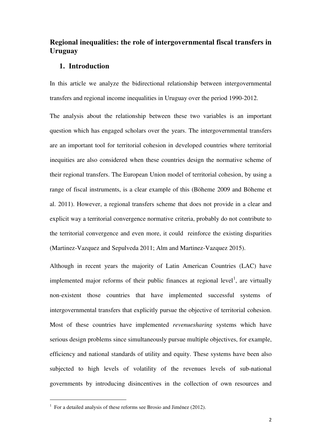## **Regional inequalities: the role of intergovernmental fiscal transfers in Uruguay**

#### **1. Introduction**

In this article we analyze the bidirectional relationship between intergovernmental transfers and regional income inequalities in Uruguay over the period 1990-2012.

The analysis about the relationship between these two variables is an important question which has engaged scholars over the years. The intergovernmental transfers are an important tool for territorial cohesion in developed countries where territorial inequities are also considered when these countries design the normative scheme of their regional transfers. The European Union model of territorial cohesion, by using a range of fiscal instruments, is a clear example of this (Böheme 2009 and Böheme et al. 2011). However, a regional transfers scheme that does not provide in a clear and explicit way a territorial convergence normative criteria, probably do not contribute to the territorial convergence and even more, it could reinforce the existing disparities (Martinez-Vazquez and Sepulveda 2011; Alm and Martinez-Vazquez 2015).

Although in recent years the majority of Latin American Countries (LAC) have implemented major reforms of their public finances at regional level<sup>1</sup>, are virtually non-existent those countries that have implemented successful systems of intergovernmental transfers that explicitly pursue the objective of territorial cohesion. Most of these countries have implemented *revenuesharing* systems which have serious design problems since simultaneously pursue multiple objectives, for example, efficiency and national standards of utility and equity. These systems have been also subjected to high levels of volatility of the revenues levels of sub-national governments by introducing disincentives in the collection of own resources and

l

 $1$  For a detailed analysis of these reforms see Brosio and Jiménez (2012).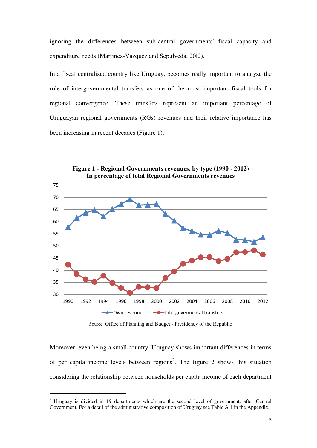ignoring the differences between sub-central governments' fiscal capacity and expenditure needs (Martinez-Vazquez and Sepulveda, 20l2).

In a fiscal centralized country like Uruguay, becomes really important to analyze the role of intergovernmental transfers as one of the most important fiscal tools for regional convergence. These transfers represent an important percentage of Uruguayan regional governments (RGs) revenues and their relative importance has been increasing in recent decades (Figure 1).



**Figure 1 - Regional Governments revenues, by type (1990 - 2012) In percentage of total Regional Governments revenues**

Source: Office of Planning and Budget - Presidency of the Republic

Moreover, even being a small country, Uruguay shows important differences in terms of per capita income levels between regions<sup>2</sup>. The figure 2 shows this situation considering the relationship between households per capita income of each department

 $\overline{a}$ 

<sup>&</sup>lt;sup>2</sup> Uruguay is divided in 19 departments which are the second level of government, after Central Government. For a detail of the administrative composition of Uruguay see Table A.1 in the Appendix.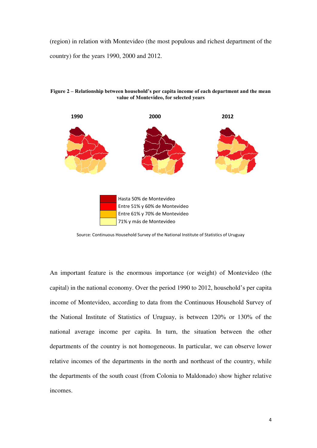(region) in relation with Montevideo (the most populous and richest department of the country) for the years 1990, 2000 and 2012.



**Figure 2 – Relationship between household's per capita income of each department and the mean value of Montevideo, for selected years** 

Source: Continuous Household Survey of the National Institute of Statistics of Uruguay

An important feature is the enormous importance (or weight) of Montevideo (the capital) in the national economy. Over the period 1990 to 2012, household's per capita income of Montevideo, according to data from the Continuous Household Survey of the National Institute of Statistics of Uruguay, is between 120% or 130% of the national average income per capita. In turn, the situation between the other departments of the country is not homogeneous. In particular, we can observe lower relative incomes of the departments in the north and northeast of the country, while the departments of the south coast (from Colonia to Maldonado) show higher relative incomes.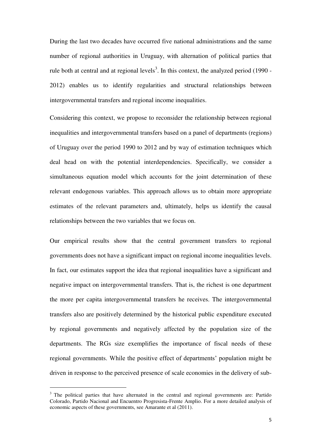During the last two decades have occurred five national administrations and the same number of regional authorities in Uruguay, with alternation of political parties that rule both at central and at regional levels<sup>3</sup>. In this context, the analyzed period  $(1990 -$ 2012) enables us to identify regularities and structural relationships between intergovernmental transfers and regional income inequalities.

Considering this context, we propose to reconsider the relationship between regional inequalities and intergovernmental transfers based on a panel of departments (regions) of Uruguay over the period 1990 to 2012 and by way of estimation techniques which deal head on with the potential interdependencies. Specifically, we consider a simultaneous equation model which accounts for the joint determination of these relevant endogenous variables. This approach allows us to obtain more appropriate estimates of the relevant parameters and, ultimately, helps us identify the causal relationships between the two variables that we focus on.

Our empirical results show that the central government transfers to regional governments does not have a significant impact on regional income inequalities levels. In fact, our estimates support the idea that regional inequalities have a significant and negative impact on intergovernmental transfers. That is, the richest is one department the more per capita intergovernmental transfers he receives. The intergovernmental transfers also are positively determined by the historical public expenditure executed by regional governments and negatively affected by the population size of the departments. The RGs size exemplifies the importance of fiscal needs of these regional governments. While the positive effect of departments' population might be driven in response to the perceived presence of scale economies in the delivery of sub-

 $\overline{a}$ 

<sup>&</sup>lt;sup>3</sup> The political parties that have alternated in the central and regional governments are: Partido Colorado, Partido Nacional and Encuentro Progresista-Frente Amplio. For a more detailed analysis of economic aspects of these governments, see Amarante et al (2011).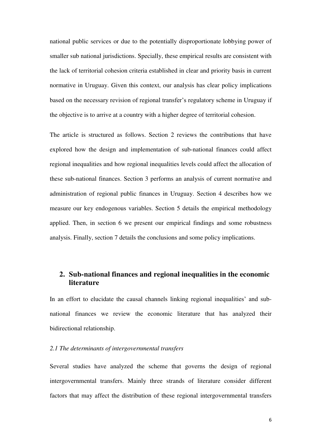national public services or due to the potentially disproportionate lobbying power of smaller sub national jurisdictions. Specially, these empirical results are consistent with the lack of territorial cohesion criteria established in clear and priority basis in current normative in Uruguay. Given this context, our analysis has clear policy implications based on the necessary revision of regional transfer's regulatory scheme in Uruguay if the objective is to arrive at a country with a higher degree of territorial cohesion.

The article is structured as follows. Section 2 reviews the contributions that have explored how the design and implementation of sub-national finances could affect regional inequalities and how regional inequalities levels could affect the allocation of these sub-national finances. Section 3 performs an analysis of current normative and administration of regional public finances in Uruguay. Section 4 describes how we measure our key endogenous variables. Section 5 details the empirical methodology applied. Then, in section 6 we present our empirical findings and some robustness analysis. Finally, section 7 details the conclusions and some policy implications.

# **2. Sub-national finances and regional inequalities in the economic literature**

In an effort to elucidate the causal channels linking regional inequalities' and subnational finances we review the economic literature that has analyzed their bidirectional relationship.

#### *2.1 The determinants of intergovernmental transfers*

Several studies have analyzed the scheme that governs the design of regional intergovernmental transfers. Mainly three strands of literature consider different factors that may affect the distribution of these regional intergovernmental transfers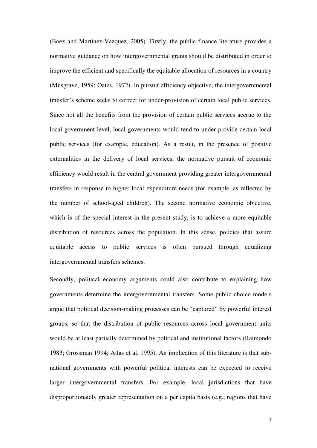(Boex and Martinez-Vazquez, 2005). Firstly, the public finance literature provides a normative guidance on how intergovernmental grants should be distributed in order to improve the efficient and specifically the equitable allocation of resources in a country (Musgrave, 1959; Oates, 1972). In pursuit efficiency objective, the intergovernmental transfer's scheme seeks to correct for under-provision of certain local public services. Since not all the benefits from the provision of certain public services accrue to the local government level, local governments would tend to under-provide certain local public services (for example, education). As a result, in the presence of positive externalities in the delivery of local services, the normative pursuit of economic efficiency would result in the central government providing greater intergovernmental transfers in response to higher local expenditure needs (for example, as reflected by the number of school-aged children). The second normative economic objective, which is of the special interest in the present study, is to achieve a more equitable distribution of resources across the population. In this sense, policies that assure equitable access to public services is often pursued through equalizing intergovernmental transfers schemes.

Secondly, political economy arguments could also contribute to explaining how governments determine the intergovernmental transfers. Some public choice models argue that political decision-making processes can be "captured" by powerful interest groups, so that the distribution of public resources across local government units would be at least partially determined by political and institutional factors (Raimondo 1983; Grossman 1994; Atlas et al. 1995). An implication of this literature is that subnational governments with powerful political interests can be expected to receive larger intergovernmental transfers. For example, local jurisdictions that have disproportionately greater representation on a per capita basis (e.g., regions that have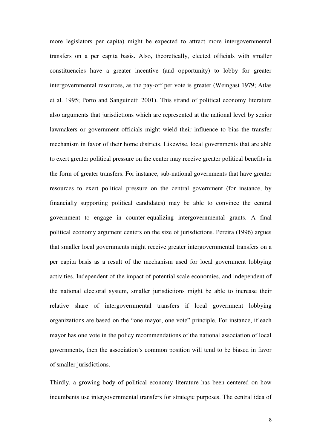more legislators per capita) might be expected to attract more intergovernmental transfers on a per capita basis. Also, theoretically, elected officials with smaller constituencies have a greater incentive (and opportunity) to lobby for greater intergovernmental resources, as the pay-off per vote is greater (Weingast 1979; Atlas et al. 1995; Porto and Sanguinetti 2001). This strand of political economy literature also arguments that jurisdictions which are represented at the national level by senior lawmakers or government officials might wield their influence to bias the transfer mechanism in favor of their home districts. Likewise, local governments that are able to exert greater political pressure on the center may receive greater political benefits in the form of greater transfers. For instance, sub-national governments that have greater resources to exert political pressure on the central government (for instance, by financially supporting political candidates) may be able to convince the central government to engage in counter-equalizing intergovernmental grants. A final political economy argument centers on the size of jurisdictions. Pereira (1996) argues that smaller local governments might receive greater intergovernmental transfers on a per capita basis as a result of the mechanism used for local government lobbying activities. Independent of the impact of potential scale economies, and independent of the national electoral system, smaller jurisdictions might be able to increase their relative share of intergovernmental transfers if local government lobbying organizations are based on the "one mayor, one vote" principle. For instance, if each mayor has one vote in the policy recommendations of the national association of local governments, then the association's common position will tend to be biased in favor of smaller jurisdictions.

Thirdly, a growing body of political economy literature has been centered on how incumbents use intergovernmental transfers for strategic purposes. The central idea of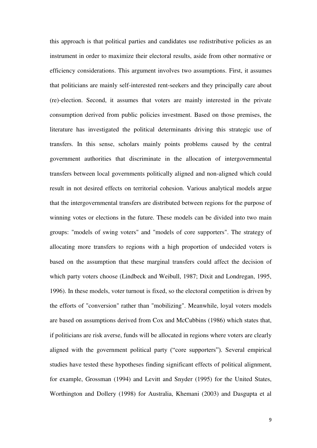this approach is that political parties and candidates use redistributive policies as an instrument in order to maximize their electoral results, aside from other normative or efficiency considerations. This argument involves two assumptions. First, it assumes that politicians are mainly self-interested rent-seekers and they principally care about (re)-election. Second, it assumes that voters are mainly interested in the private consumption derived from public policies investment. Based on those premises, the literature has investigated the political determinants driving this strategic use of transfers. In this sense, scholars mainly points problems caused by the central government authorities that discriminate in the allocation of intergovernmental transfers between local governments politically aligned and non-aligned which could result in not desired effects on territorial cohesion. Various analytical models argue that the intergovernmental transfers are distributed between regions for the purpose of winning votes or elections in the future. These models can be divided into two main groups: "models of swing voters" and "models of core supporters". The strategy of allocating more transfers to regions with a high proportion of undecided voters is based on the assumption that these marginal transfers could affect the decision of which party voters choose (Lindbeck and Weibull, 1987; Dixit and Londregan, 1995, 1996). In these models, voter turnout is fixed, so the electoral competition is driven by the efforts of "conversion" rather than "mobilizing". Meanwhile, loyal voters models are based on assumptions derived from Cox and McCubbins (1986) which states that, if politicians are risk averse, funds will be allocated in regions where voters are clearly aligned with the government political party ("core supporters"). Several empirical studies have tested these hypotheses finding significant effects of political alignment, for example, Grossman (1994) and Levitt and Snyder (1995) for the United States, Worthington and Dollery (1998) for Australia, Khemani (2003) and Dasgupta et al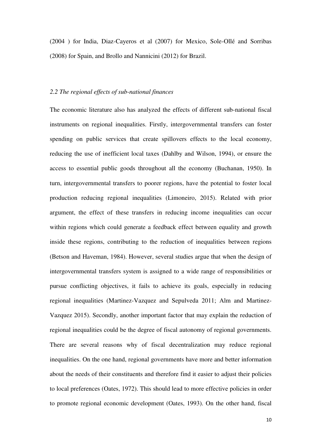(2004 ) for India, Diaz-Cayeros et al (2007) for Mexico, Sole-Ollé and Sorribas (2008) for Spain, and Brollo and Nannicini (2012) for Brazil.

#### *2.2 The regional effects of sub-national finances*

The economic literature also has analyzed the effects of different sub-national fiscal instruments on regional inequalities. Firstly, intergovernmental transfers can foster spending on public services that create spillovers effects to the local economy, reducing the use of inefficient local taxes (Dahlby and Wilson, 1994), or ensure the access to essential public goods throughout all the economy (Buchanan, 1950). In turn, intergovernmental transfers to poorer regions, have the potential to foster local production reducing regional inequalities (Limoneiro, 2015). Related with prior argument, the effect of these transfers in reducing income inequalities can occur within regions which could generate a feedback effect between equality and growth inside these regions, contributing to the reduction of inequalities between regions (Betson and Haveman, 1984). However, several studies argue that when the design of intergovernmental transfers system is assigned to a wide range of responsibilities or pursue conflicting objectives, it fails to achieve its goals, especially in reducing regional inequalities (Martinez-Vazquez and Sepulveda 2011; Alm and Martinez-Vazquez 2015). Secondly, another important factor that may explain the reduction of regional inequalities could be the degree of fiscal autonomy of regional governments. There are several reasons why of fiscal decentralization may reduce regional inequalities. On the one hand, regional governments have more and better information about the needs of their constituents and therefore find it easier to adjust their policies to local preferences (Oates, 1972). This should lead to more effective policies in order to promote regional economic development (Oates, 1993). On the other hand, fiscal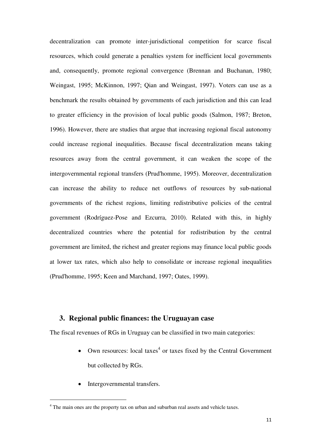decentralization can promote inter-jurisdictional competition for scarce fiscal resources, which could generate a penalties system for inefficient local governments and, consequently, promote regional convergence (Brennan and Buchanan, 1980; Weingast, 1995; McKinnon, 1997; Qian and Weingast, 1997). Voters can use as a benchmark the results obtained by governments of each jurisdiction and this can lead to greater efficiency in the provision of local public goods (Salmon, 1987; Breton, 1996). However, there are studies that argue that increasing regional fiscal autonomy could increase regional inequalities. Because fiscal decentralization means taking resources away from the central government, it can weaken the scope of the intergovernmental regional transfers (Prud'homme, 1995). Moreover, decentralization can increase the ability to reduce net outflows of resources by sub-national governments of the richest regions, limiting redistributive policies of the central government (Rodríguez-Pose and Ezcurra, 2010). Related with this, in highly decentralized countries where the potential for redistribution by the central government are limited, the richest and greater regions may finance local public goods at lower tax rates, which also help to consolidate or increase regional inequalities (Prud'homme, 1995; Keen and Marchand, 1997; Oates, 1999).

## **3. Regional public finances: the Uruguayan case**

The fiscal revenues of RGs in Uruguay can be classified in two main categories:

- Own resources: local taxes<sup>4</sup> or taxes fixed by the Central Government but collected by RGs.
- Intergovernmental transfers.

l

<sup>&</sup>lt;sup>4</sup> The main ones are the property tax on urban and suburban real assets and vehicle taxes.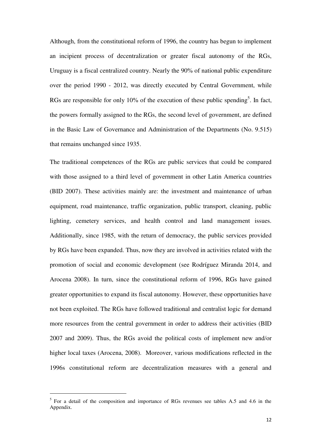Although, from the constitutional reform of 1996, the country has begun to implement an incipient process of decentralization or greater fiscal autonomy of the RGs, Uruguay is a fiscal centralized country. Nearly the 90% of national public expenditure over the period 1990 - 2012, was directly executed by Central Government, while RGs are responsible for only 10% of the execution of these public spending<sup>5</sup>. In fact, the powers formally assigned to the RGs, the second level of government, are defined in the Basic Law of Governance and Administration of the Departments (No. 9.515) that remains unchanged since 1935.

The traditional competences of the RGs are public services that could be compared with those assigned to a third level of government in other Latin America countries (BID 2007). These activities mainly are: the investment and maintenance of urban equipment, road maintenance, traffic organization, public transport, cleaning, public lighting, cemetery services, and health control and land management issues. Additionally, since 1985, with the return of democracy, the public services provided by RGs have been expanded. Thus, now they are involved in activities related with the promotion of social and economic development (see Rodríguez Miranda 2014, and Arocena 2008). In turn, since the constitutional reform of 1996, RGs have gained greater opportunities to expand its fiscal autonomy. However, these opportunities have not been exploited. The RGs have followed traditional and centralist logic for demand more resources from the central government in order to address their activities (BID 2007 and 2009). Thus, the RGs avoid the political costs of implement new and/or higher local taxes (Arocena, 2008). Moreover, various modifications reflected in the 1996s constitutional reform are decentralization measures with a general and

 $\overline{a}$ 

<sup>&</sup>lt;sup>5</sup> For a detail of the composition and importance of RGs revenues see tables A.5 and 4.6 in the Appendix.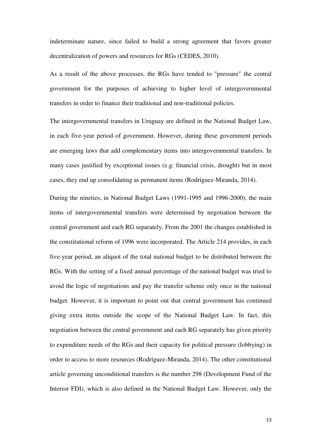indeterminate nature, since failed to build a strong agreement that favors greater decentralization of powers and resources for RGs (CEDES, 2010).

As a result of the above processes, the RGs have tended to "pressure" the central government for the purposes of achieving to higher level of intergovernmental transfers in order to finance their traditional and non-traditional policies.

The intergovernmental transfers in Uruguay are defined in the National Budget Law, in each five-year period of government. However, during these government periods are emerging laws that add complementary items into intergovernmental transfers. In many cases justified by exceptional issues (e.g. financial crisis, drought) but in most cases, they end up consolidating as permanent items (Rodríguez-Miranda, 2014).

During the nineties, in National Budget Laws (1991-1995 and 1996-2000), the main items of intergovernmental transfers were determined by negotiation between the central government and each RG separately. From the 2001 the changes established in the constitutional reform of 1996 were incorporated. The Article 214 provides, in each five-year period, an aliquot of the total national budget to be distributed between the RGs. With the setting of a fixed annual percentage of the national budget was tried to avoid the logic of negotiations and pay the transfer scheme only once in the national budget. However, it is important to point out that central government has continued giving extra items outside the scope of the National Budget Law. In fact, this negotiation between the central government and each RG separately has given priority to expenditure needs of the RGs and their capacity for political pressure (lobbying) in order to access to more resources (Rodríguez-Miranda, 2014). The other constitutional article governing unconditional transfers is the number 298 (Development Fund of the Interior FDI), which is also defined in the National Budget Law. However, only the

13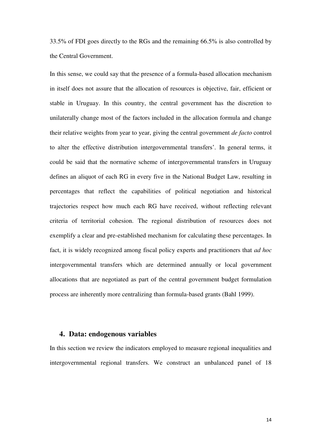33.5% of FDI goes directly to the RGs and the remaining 66.5% is also controlled by the Central Government.

In this sense, we could say that the presence of a formula-based allocation mechanism in itself does not assure that the allocation of resources is objective, fair, efficient or stable in Uruguay. In this country, the central government has the discretion to unilaterally change most of the factors included in the allocation formula and change their relative weights from year to year, giving the central government *de facto* control to alter the effective distribution intergovernmental transfers'. In general terms, it could be said that the normative scheme of intergovernmental transfers in Uruguay defines an aliquot of each RG in every five in the National Budget Law, resulting in percentages that reflect the capabilities of political negotiation and historical trajectories respect how much each RG have received, without reflecting relevant criteria of territorial cohesion. The regional distribution of resources does not exemplify a clear and pre-established mechanism for calculating these percentages. In fact, it is widely recognized among fiscal policy experts and practitioners that *ad hoc* intergovernmental transfers which are determined annually or local government allocations that are negotiated as part of the central government budget formulation process are inherently more centralizing than formula-based grants (Bahl 1999).

#### **4. Data: endogenous variables**

In this section we review the indicators employed to measure regional inequalities and intergovernmental regional transfers. We construct an unbalanced panel of 18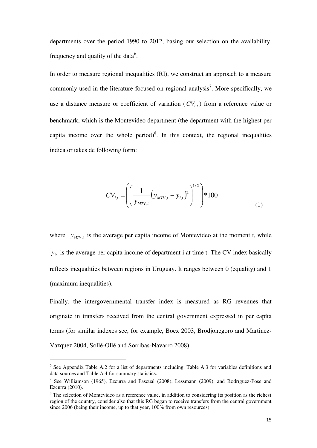departments over the period 1990 to 2012, basing our selection on the availability, frequency and quality of the data $6$ .

In order to measure regional inequalities (RI), we construct an approach to a measure commonly used in the literature focused on regional analysis<sup>7</sup>. More specifically, we use a distance measure or coefficient of variation  $(CV_{i,t})$  from a reference value or benchmark, which is the Montevideo department (the department with the highest per capita income over the whole period)<sup>8</sup>. In this context, the regional inequalities indicator takes de following form:

$$
CV_{i,t} = \left( \left( \frac{1}{y_{MTV,t}} (y_{MTV,t} - y_{i,t})^2 \right)^{1/2} \right) * 100
$$
 (1)

where  $y_{MTV,t}$  is the average per capita income of Montevideo at the moment t, while  $y_{i}$  is the average per capita income of department i at time t. The CV index basically reflects inequalities between regions in Uruguay. It ranges between 0 (equality) and 1 (maximum inequalities).

Finally, the intergovernmental transfer index is measured as RG revenues that originate in transfers received from the central government expressed in per capíta terms (for similar indexes see, for example, Boex 2003, Brodjonegoro and Martinez-Vazquez 2004, Sollé-Ollé and Sorribas-Navarro 2008).

l

<sup>&</sup>lt;sup>6</sup> See Appendix Table A.2 for a list of departments including, Table A.3 for variables definitions and data sources and Table A.4 for summary statistics.

<sup>&</sup>lt;sup>7</sup> See Williamson (1965), Ezcurra and Pascual (2008), Lessmann (2009), and Rodríguez-Pose and Ezcurra (2010).

 $8$  The selection of Montevideo as a reference value, in addition to considering its position as the richest region of the country, consider also that this RG began to receive transfers from the central government since 2006 (being their income, up to that year,  $100\%$  from own resources).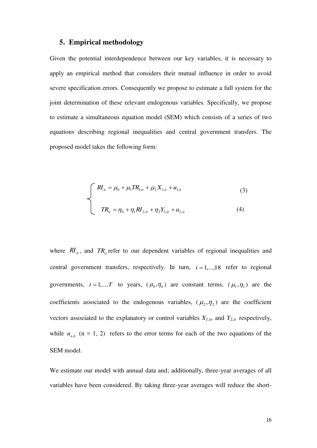#### **5. Empirical methodology**

Given the potential interdependence between our key variables, it is necessary to apply an empirical method that considers their mutual influence in order to avoid severe specification errors. Consequently we propose to estimate a full system for the joint determination of these relevant endogenous variables. Specifically, we propose to estimate a simultaneous equation model (SEM) which consists of a series of two equations describing regional inequalities and central government transfers. The proposed model takes the following form:

$$
\begin{cases}\nR I_{it} = \mu_0 + \mu_1 T R_{1,it} + \mu_2 X_{1,it} + u_{1,it} \\
TR_{it} = \eta_0 + \eta_1 R I_{2,it} + \eta_2 Y_{2,it} + u_{2,it}\n\end{cases}
$$
\n(3)

where  $RI_{it}$ , and  $TR_{it}$  refer to our dependent variables of regional inequalities and central government transfers, respectively. In turn,  $i = 1,...,18$  refer to regional governments,  $t = 1,...,T$  to years,  $(\mu_0, \eta_0)$  are constant terms,  $(\mu_1, \eta_1)$  are the coefficients associated to the endogenous variables,  $(\mu_2, \eta_2)$  are the coefficient vectors associated to the explanatory or control variables  $X_{1,it}$ , and  $Y_{2,it}$  respectively, while  $u_{n,i}$  (n = 1, 2) refers to the error terms for each of the two equations of the SEM model.

We estimate our model with annual data and; additionally, three-year averages of all variables have been considered. By taking three-year averages will reduce the short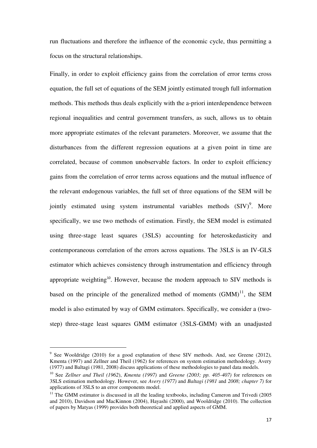run fluctuations and therefore the influence of the economic cycle, thus permitting a focus on the structural relationships.

Finally, in order to exploit efficiency gains from the correlation of error terms cross equation, the full set of equations of the SEM jointly estimated trough full information methods. This methods thus deals explicitly with the a-priori interdependence between regional inequalities and central government transfers, as such, allows us to obtain more appropriate estimates of the relevant parameters. Moreover, we assume that the disturbances from the different regression equations at a given point in time are correlated, because of common unobservable factors. In order to exploit efficiency gains from the correlation of error terms across equations and the mutual influence of the relevant endogenous variables, the full set of three equations of the SEM will be jointly estimated using system instrumental variables methods  $(SIV)^9$ . More specifically, we use two methods of estimation. Firstly, the SEM model is estimated using three-stage least squares (3SLS) accounting for heteroskedasticity and contemporaneous correlation of the errors across equations. The 3SLS is an IV-GLS estimator which achieves consistency through instrumentation and efficiency through appropriate weighting<sup>10</sup>. However, because the modern approach to SIV methods is based on the principle of the generalized method of moments  $(GMM)^{11}$ , the SEM model is also estimated by way of GMM estimators. Specifically, we consider a (twostep) three-stage least squares GMM estimator (3SLS-GMM) with an unadjusted

 $\overline{a}$ 

 $9$  See Wooldridge (2010) for a good explanation of these SIV methods. And, see Greene (2012), Kmenta (1997) and Zellner and Theil (1962) for references on system estimation methodology. Avery (1977) and Baltagi (1981, 2008) discuss applications of these methodologies to panel data models.

<sup>10</sup> See *Zellner and Theil (1962*), *Kmenta (1997)* and *Greene (2003; pp. 405-407)* for references on 3SLS estimation methodology. However, see *Avery (1977)* and *Baltagi (1981* and *2008; chapter 7)* for applications of 3SLS to an error components model.

<sup>&</sup>lt;sup>11</sup> The GMM estimator is discussed in all the leading textbooks, including Cameron and Trivedi (2005 and 2010), Davidson and MacKinnon (2004), Hayashi (2000), and Wooldridge (2010). The collection of papers by Matyas (1999) provides both theoretical and applied aspects of GMM.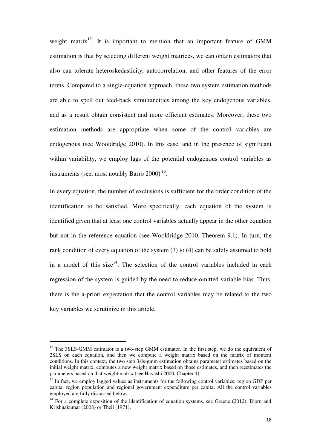weight matrix<sup>12</sup>. It is important to mention that an important feature of GMM estimation is that by selecting different weight matrices, we can obtain estimators that also can tolerate heteroskedasticity, autocorrelation, and other features of the error terms. Compared to a single-equation approach, these two system estimation methods are able to spell out feed-back simultaneities among the key endogenous variables, and as a result obtain consistent and more efficient estimates. Moreover, these two estimation methods are appropriate when some of the control variables are endogenous (see Wooldridge 2010). In this case, and in the presence of significant within variability, we employ lags of the potential endogenous control variables as instruments (see, most notably Barro 2000)<sup> $13$ </sup>.

In every equation, the number of exclusions is sufficient for the order condition of the identification to be satisfied. More specifically, each equation of the system is identified given that at least one control variables actually appear in the other equation but not in the reference equation (see Wooldridge 2010, Theorem 9.1). In turn, the rank condition of every equation of the system (3) to (4) can be safely assumed to hold in a model of this size<sup>14</sup>. The selection of the control variables included in each regression of the system is guided by the need to reduce omitted variable bias. Thus, there is the a-priori expectation that the control variables may be related to the two key variables we scrutinize in this article.

l

 $12$  The 3SLS-GMM estimator is a two-step GMM estimator. In the first step, we do the equivalent of 2SLS on each equation, and then we compute a weight matrix based on the matrix of moment conditions. In this context, the two step 3sls-gmm estimation obtains parameter estimates based on the initial weight matrix, computes a new weight matrix based on those estimates, and then reestimates the parameters based on that weight matrix (see Hayashi 2000, Chapter 4).

 $13$  In fact, we employ lagged values as instruments for the following control variables: region GDP per capita, region population and regional government expenditure per capita. All the control variables employed are fully discussed below.

 $14$  For a complete exposition of the identification of equation systems, see Greene (2012), Bjorn and Krishnakumar (2008) or Theil (1971).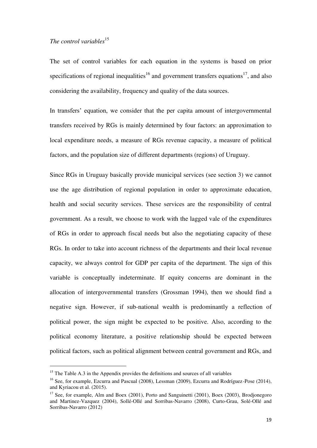## The control variables<sup>15</sup>

The set of control variables for each equation in the systems is based on prior specifications of regional inequalities<sup>16</sup> and government transfers equations<sup>17</sup>, and also considering the availability, frequency and quality of the data sources.

In transfers' equation, we consider that the per capita amount of intergovernmental transfers received by RGs is mainly determined by four factors: an approximation to local expenditure needs, a measure of RGs revenue capacity, a measure of political factors, and the population size of different departments (regions) of Uruguay.

Since RGs in Uruguay basically provide municipal services (see section 3) we cannot use the age distribution of regional population in order to approximate education, health and social security services. These services are the responsibility of central government. As a result, we choose to work with the lagged vale of the expenditures of RGs in order to approach fiscal needs but also the negotiating capacity of these RGs. In order to take into account richness of the departments and their local revenue capacity, we always control for GDP per capita of the department. The sign of this variable is conceptually indeterminate. If equity concerns are dominant in the allocation of intergovernmental transfers (Grossman 1994), then we should find a negative sign. However, if sub-national wealth is predominantly a reflection of political power, the sign might be expected to be positive. Also, according to the political economy literature, a positive relationship should be expected between political factors, such as political alignment between central government and RGs, and

l

<sup>&</sup>lt;sup>15</sup> The Table A.3 in the Appendix provides the definitions and sources of all variables

<sup>&</sup>lt;sup>16</sup> See, for example, Ezcurra and Pascual (2008), Lessman (2009), Ezcurra and Rodríguez-Pose (2014), and Kyriacou et al. (2015).

<sup>&</sup>lt;sup>17</sup> See, for example, Alm and Boex (2001), Porto and Sanguinetti (2001), Boex (2003), Brodjonegoro and Martinez-Vazquez (2004), Sollé-Ollé and Sorribas-Navarro (2008), Curto-Grau, Solé-Ollé and Sorribas-Navarro (2012)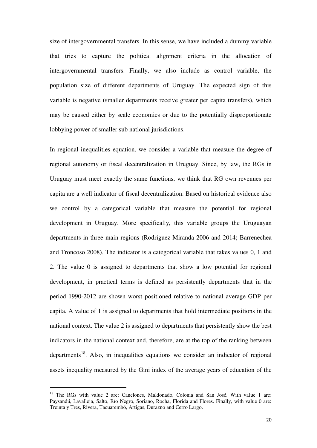size of intergovernmental transfers. In this sense, we have included a dummy variable that tries to capture the political alignment criteria in the allocation of intergovernmental transfers. Finally, we also include as control variable, the population size of different departments of Uruguay. The expected sign of this variable is negative (smaller departments receive greater per capita transfers), which may be caused either by scale economies or due to the potentially disproportionate lobbying power of smaller sub national jurisdictions.

In regional inequalities equation, we consider a variable that measure the degree of regional autonomy or fiscal decentralization in Uruguay. Since, by law, the RGs in Uruguay must meet exactly the same functions, we think that RG own revenues per capita are a well indicator of fiscal decentralization. Based on historical evidence also we control by a categorical variable that measure the potential for regional development in Uruguay. More specifically, this variable groups the Uruguayan departments in three main regions (Rodríguez-Miranda 2006 and 2014; Barrenechea and Troncoso 2008). The indicator is a categorical variable that takes values 0, 1 and 2. The value 0 is assigned to departments that show a low potential for regional development, in practical terms is defined as persistently departments that in the period 1990-2012 are shown worst positioned relative to national average GDP per capita. A value of 1 is assigned to departments that hold intermediate positions in the national context. The value 2 is assigned to departments that persistently show the best indicators in the national context and, therefore, are at the top of the ranking between  $departments<sup>18</sup>$ . Also, in inequalities equations we consider an indicator of regional assets inequality measured by the Gini index of the average years of education of the

 $\overline{a}$ 

<sup>&</sup>lt;sup>18</sup> The RGs with value 2 are: Canelones, Maldonado, Colonia and San José. With value 1 are: Paysandú, Lavalleja, Salto, Río Negro, Soriano, Rocha, Florida and Flores. Finally, with value 0 are: Treinta y Tres, Rivera, Tacuarembó, Artigas, Durazno and Cerro Largo.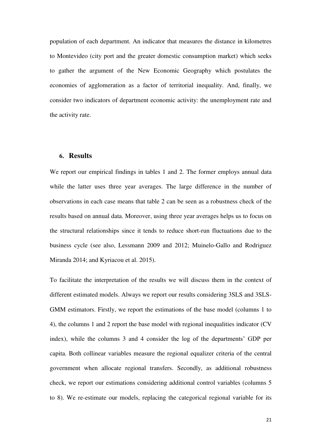population of each department. An indicator that measures the distance in kilometres to Montevideo (city port and the greater domestic consumption market) which seeks to gather the argument of the New Economic Geography which postulates the economies of agglomeration as a factor of territorial inequality. And, finally, we consider two indicators of department economic activity: the unemployment rate and the activity rate.

#### **6. Results**

We report our empirical findings in tables 1 and 2. The former employs annual data while the latter uses three year averages. The large difference in the number of observations in each case means that table 2 can be seen as a robustness check of the results based on annual data. Moreover, using three year averages helps us to focus on the structural relationships since it tends to reduce short-run fluctuations due to the business cycle (see also, Lessmann 2009 and 2012; Muinelo-Gallo and Rodriguez Miranda 2014; and Kyriacou et al. 2015).

To facilitate the interpretation of the results we will discuss them in the context of different estimated models. Always we report our results considering 3SLS and 3SLS-GMM estimators. Firstly, we report the estimations of the base model (columns 1 to 4), the columns 1 and 2 report the base model with regional inequalities indicator (CV index), while the columns 3 and 4 consider the log of the departments' GDP per capita. Both collinear variables measure the regional equalizer criteria of the central government when allocate regional transfers. Secondly, as additional robustness check, we report our estimations considering additional control variables (columns 5 to 8). We re-estimate our models, replacing the categorical regional variable for its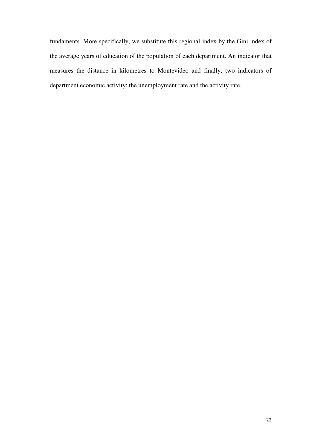fundaments. More specifically, we substitute this regional index by the Gini index of the average years of education of the population of each department. An indicator that measures the distance in kilometres to Montevideo and finally, two indicators of department economic activity: the unemployment rate and the activity rate.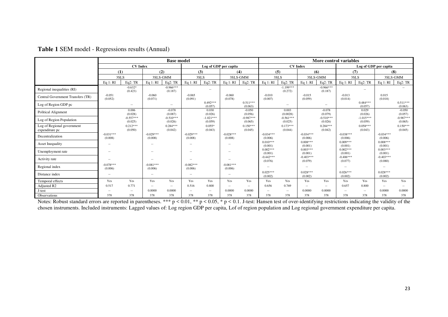|                                              | <b>Base model</b>      |                          |                          |                        |                          |                        |                          |                        |                          | More control variables |                        |                        |                        |                          |                        |                        |  |
|----------------------------------------------|------------------------|--------------------------|--------------------------|------------------------|--------------------------|------------------------|--------------------------|------------------------|--------------------------|------------------------|------------------------|------------------------|------------------------|--------------------------|------------------------|------------------------|--|
|                                              | <b>CV</b> Index        |                          |                          |                        |                          | Log of GDP per capita  |                          |                        |                          | <b>CV</b> Index        |                        |                        |                        | Log of GDP per capita    |                        |                        |  |
|                                              |                        | (1)                      |                          | (2)                    |                          | (3)                    |                          | (4)                    |                          | (5)                    |                        | (6)                    |                        | (7)                      |                        | (8)                    |  |
|                                              |                        | 3SLS                     |                          | 3SLS-GMM               |                          | 3SLS                   |                          | 3SLS-GMM               |                          | 3SLS                   |                        | 3SLS-GMM               |                        | 3SLS                     |                        | 3SLS-GMM               |  |
|                                              | Eq 1: RI               | Eq2:TR                   | Eq 1: RI                 | Eq2:TR                 | Eq 1: RI                 | Eq2:TR                 | Eq 1: RI                 | Eq2: TR                | Eq 1: RI                 | Eq2:TR                 | Eq $1:RI$              | Eq2: TR                | Eq $1:RI$              | Eq2: TR                  | Eq $1:RI$              | Eq2: TR                |  |
| Regional inequalities (RI)                   |                        | $-0.632*$<br>(0.423)     |                          | $-0.966***$<br>(0.187) |                          | $\sim$                 |                          | $\sim$ $-$             |                          | $-1.199***$<br>(0.272) |                        | $-0.966***$<br>(0.187) |                        | $\overline{\phantom{a}}$ |                        | $\sim$                 |  |
| Central Government Transfers (TR)            | $-0.051$<br>(0.052)    |                          | $-0.060$<br>(0.071)      |                        | $-0.065$<br>(0.091)      |                        | $-0.060$<br>(0.078)      |                        | $-0.010$<br>(0.007)      |                        | $-0.015$<br>(0.059)    |                        | $-0.013$<br>(0.014)    |                          | 0.015<br>(0.018)       |                        |  |
| Log of Region GDP pc                         |                        | $\sim$                   |                          | $\sim$                 |                          | $0.492***$<br>(0.057)  |                          | $0.511***$<br>(0.063)  |                          | $\sim$ $-$             |                        | $\sim$ $-$             |                        | $0.484***$<br>(0.057)    |                        | $0.511***$<br>(0.063)  |  |
| Political Alignment                          |                        | 0.006<br>(0.028)         |                          | $-0.078$<br>(0.087)    |                          | 0.030<br>(0.026)       |                          | $-0.050$<br>(0.056)    |                          | 0.003<br>(0.0028)      |                        | $-0.078$<br>(0.079)    |                        | 0.029<br>(0.026)         |                        | $-0.050$<br>(0.057)    |  |
| Log of Region Population                     |                        | $-0.557***$<br>(0.025)   |                          | $-0.510***$<br>(0.026) |                          | $-1.021***$<br>(0.059) |                          | $-0.987***$<br>(0.065) |                          | $-0.561***$<br>(0.025) |                        | $-0.510***$<br>(0.026) |                        | $-1.015***$<br>(0.059)   |                        | $-0.987***$<br>(0.065) |  |
| Log of Regional government<br>expenditure pc |                        | $0.212***$<br>(0.050)    |                          | $0.284***$<br>(0.042)  |                          | $0.055*$<br>(0.043)    |                          | $0.150***$<br>(0.045)  |                          | $0.173***$<br>(0.044)  |                        | $0.284***$<br>(0.042)  |                        | $0.058***$<br>(0.043)    |                        | $0.150***$<br>(0.045)  |  |
| Decentralization                             | $-0.031***$<br>(0.008) |                          | $-0.029***$<br>(0.008)   |                        | $-0.029***$<br>(0.008)   |                        | $-0.028***$<br>(0.008)   |                        | $-0.034***$<br>(0.006)   |                        | $-0.034***$<br>(0.006) |                        | $-0.038***$<br>(0.006) |                          | $-0.034***$<br>(0.006) |                        |  |
| <b>Asset Inequality</b>                      | $-$                    |                          | $\overline{\phantom{a}}$ |                        | --                       |                        | $\overline{\phantom{a}}$ |                        | $0.010***$<br>(0.001)    |                        | $0.008***$<br>(0.001)  |                        | $0.009***$<br>(0.001)  |                          | $0.008***$<br>(0.001)  |                        |  |
| Unemployment rate                            | $\sim$ $-$             |                          | $\overline{\phantom{a}}$ |                        | $\overline{\phantom{a}}$ |                        | $\sim$                   |                        | $0.002***$<br>(0.001)    |                        | $0.003***$<br>(0.001)  |                        | $0.002***$<br>(0.001)  |                          | $0.003***$<br>(0.001)  |                        |  |
| Activity rate                                | $\sim$ $-$             |                          | $\overline{\phantom{a}}$ |                        | $\sim$                   |                        | $\sim$                   |                        | $-0.442***$<br>(0.076)   |                        | $-0.403***$<br>(0.079) |                        | $-0.406***$<br>(0.077) |                          | $-0.403***$<br>(0.080) |                        |  |
| Regional index                               | $-0.078***$<br>(0.006) |                          | $-0.081***$<br>(0.006)   |                        | $-0.082***$<br>(0.006)   |                        | $-0.081***$<br>(0.006)   |                        | $\overline{\phantom{a}}$ |                        | $\sim$                 |                        | $\sim$                 |                          | $\sim$                 |                        |  |
| Distance index                               | $\sim$ $-$             |                          | $\overline{\phantom{a}}$ |                        | $\sim$                   |                        | $\sim$                   |                        | $0.025***$<br>(0.002)    |                        | $0.028***$<br>(0.002)  |                        | $0.026***$<br>(0.002)  |                          | $0.028***$<br>(0.002)  |                        |  |
| Temporal effects                             | Yes                    | Yes                      | Yes                      | Yes                    | Yes                      | Yes                    | Yes                      | Yes                    | Yes                      | Yes                    | Yes                    | Yes                    | Yes                    | Yes                      | Yes                    | Yes                    |  |
| Adjusted R2                                  | 0.517                  | 0.771                    | $\overline{\phantom{a}}$ | $\sim$                 | 0.516                    | 0.800                  | $\overline{\phantom{a}}$ | $\sim$                 | 0.656                    | 0.769                  | $\sim$ $-$             | $\sim$                 | 0.657                  | 0.800                    | $\sim$                 | $\sim$                 |  |
| J-test                                       |                        | $\overline{\phantom{a}}$ | 0.0000                   | 0.0000                 |                          | $\sim$                 | 0.0000                   | 0.0000                 | $\sim$                   | $\sim$ $-$             | 0.0000                 | 0.0000                 | $\sim$                 | $\overline{\phantom{a}}$ | 0.0000                 | 0.0000                 |  |
| Observations                                 | 378                    | 378                      | 378                      | 378                    | 378                      | 378                    | 378                      | 378                    | 378                      | 378                    | 378                    | 378                    | 378                    | 378                      | 378                    | 378                    |  |

Notes: Robust standard errors are reported in parentheses. \*\*\*  $p < 0.01$ , \*\*  $p < 0.05$ , \*  $p < 0.1$ . J-test: Hansen test of over-identifying restrictions indicating the validity of the chosen instruments. Included instruments: Lagged values of: Log region GDP per capita, Lof of region population and Log regional government expenditure per capita.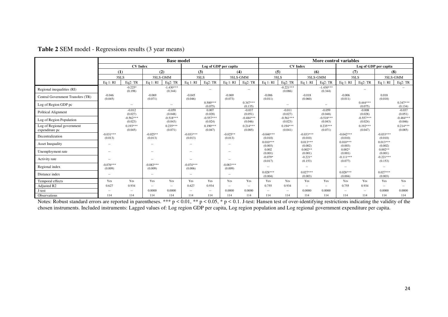|                                              | <b>Base model</b>      |                        |                        |                        |                        |                        |                          |                        |                        | More control variables |                        |                        |                        |                        |                        |                        |
|----------------------------------------------|------------------------|------------------------|------------------------|------------------------|------------------------|------------------------|--------------------------|------------------------|------------------------|------------------------|------------------------|------------------------|------------------------|------------------------|------------------------|------------------------|
|                                              |                        | <b>CV</b> Index        |                        |                        |                        |                        | Log of GDP per capita    |                        |                        |                        | <b>CV</b> Index        |                        |                        |                        | Log of GDP per capita  |                        |
|                                              |                        | (1)                    |                        | (2)                    |                        | (3)                    |                          | (4)                    |                        | (5)                    |                        | (6)                    | (7)                    |                        | (8)                    |                        |
|                                              |                        | 3SLS                   | 3SLS-GMM               |                        | 3SLS                   |                        | 3SLS-GMM                 |                        | 3SLS                   |                        | 3SLS-GMM               |                        | 3SLS                   |                        | 3SLS-GMM               |                        |
|                                              | Eq $1:RI$              | Eq2:TR                 | Eq 1: RI               | Eq2:TR                 | Eq 1: RI               | Eq2:TR                 | Eq 1: RI                 | Eq2: TR                | Eq 1: RI               | Eq2:TR                 | Eq 1: RI               | Eq2: TR                | Eq 1: RI               | Eq2:TR                 | Eq $1:RI$              | Eq2:TR                 |
| Regional inequalities (RI)                   |                        | $-0.225*$<br>(0.198)   |                        | $-1.430***$<br>(0.344) |                        | $\sim$                 |                          | $\sim$ $-$             |                        | $-0.221***$<br>(0.086) |                        | $-1.430***$<br>(0.344) |                        | $\sim$                 |                        | $\sim$                 |
| Central Government Transfers (TR)            | $-0.046$<br>(0.045)    |                        | $-0.069$<br>(0.071)    |                        | $-0.045$<br>(0.046)    |                        | $-0.069$<br>(0.073)      |                        | $-0.006$<br>(0.011)    |                        | $-0.018$<br>(0.060)    |                        | $-0.006$<br>(0.011)    |                        | 0.018<br>(0.018)       |                        |
| Log of Region GDP pc                         |                        | $\sim$                 |                        | $\sim$                 |                        | $0.500***$<br>(0.075)  |                          | $0.347***$<br>(0.135)  |                        | $\sim$ $-$             |                        | $\sim$ $-$             |                        | $0.444***$<br>(0.075)  |                        | $0.347***$<br>(0.134)  |
| Political Alignment                          |                        | $-0.012$<br>(0.027)    |                        | $-0.059$<br>(0.048)    |                        | 0.007<br>(0.028)       |                          | $-0.037$<br>(0.051)    |                        | $-0.011$<br>(0.027)    |                        | $-0.059$<br>(0.048)    |                        | $-0.008$<br>(0.028)    |                        | $-0.037$<br>(0.051)    |
| Log of Region Population                     |                        | $-0.562***$<br>(0.023) |                        | $-0.518***$<br>(0.043) |                        | $-0.557***$<br>(0.024) |                          | $-0.484***$<br>(0.046) |                        | $-0.561***$<br>(0.023) |                        | $-0.518***$<br>(0.043) |                        | $-0.557***$<br>(0.024) |                        | $-0.484***$<br>(0.046) |
| Log of Regional government<br>expenditure pc |                        | $0.193***$<br>(0.045)  |                        | $0.235***$<br>(0.071)  |                        | $0.190***$<br>(0.047)  |                          | $0.214***$<br>(0.085)  |                        | $0.194***$<br>(0.041)  |                        | $0.235***$<br>(0.071)  |                        | $0.192***$<br>(0.047)  |                        | $0.214***$<br>(0.085)  |
| Decentralization                             | $-0.031***$<br>(0.013) |                        | $-0.025**$<br>(0.013)  |                        | $-0.033***$<br>(0.013) |                        | $-0.025**$<br>(0.013)    |                        | $-0.040***$<br>(0.010) |                        | $-0.033***$<br>(0.010) |                        | $-0.042***$<br>(0.010) |                        | $-0.033***$<br>(0.010) |                        |
| <b>Asset Inequality</b>                      | $\sim$                 |                        | $\sim$                 |                        | $\sim$                 |                        | $- -$                    |                        | $0.010***$<br>(0.003)  |                        | $0.013***$<br>(0.002)  |                        | $0.010***$<br>(0.003)  |                        | $0.013***$<br>(0.002)  |                        |
| Unemployment rate                            | $\sim$                 |                        | $\sim$                 |                        |                        |                        | $\sim$                   |                        | 0.002<br>(0.001)       |                        | $0.002**$<br>(0.001)   |                        | $0.002*$<br>(0.001)    |                        | $0.002**$<br>(0.001)   |                        |
| Activity rate                                | $\sim$                 |                        | $\sim$                 |                        | $\sim$                 |                        | $\sim$                   |                        | $-0.079*$<br>(0.017)   |                        | $-0.221*$<br>(0.153)   |                        | $-0.111***$<br>(0.077) |                        | $-0.221***$<br>(0.153) |                        |
| Regional index                               | $-0.076***$<br>(0.009) |                        | $-0.083***$<br>(0.009) |                        | $-0.074***$<br>(0.006) |                        | $-0.083***$<br>(0.009)   |                        | $\sim$                 |                        | $\sim$ $-$             |                        | $\sim$                 |                        | $\sim$                 |                        |
| Distance index                               | $\sim$ $-$             |                        | $\sim$                 |                        | $\sim$                 |                        | $\sim$                   |                        | $0.028***$<br>(0.004)  |                        | $0.027***$<br>(0.003)  |                        | $0.028***$<br>(0.004)  |                        | $0.027***$<br>(0.003)  |                        |
| Temporal effects                             | Yes                    | Yes                    | Yes                    | Yes                    | Yes                    | Yes                    | Yes                      | Yes                    | Yes                    | Yes                    | Yes                    | Yes                    | Yes                    | Yes                    | Yes                    | Yes                    |
| Adjusted R2                                  | 0.627                  | 0.934                  | $\sim$                 | $\sim$                 | 0.627                  | 0.934                  | $\overline{\phantom{a}}$ | $\sim$                 | 0.755                  | 0.934                  | $\sim$ $-$             | $\sim$ $\sim$          | 0.755                  | 0.934                  | $\sim$                 | $\sim$                 |
| J-test                                       | $- -$                  | $\sim$                 | 0.0000                 | 0.0000                 | $\sim$                 | $\sim$                 | 0.0000                   | 0.0000                 | $\sim$                 | $\sim$ $-$             | 0.0000                 | 0.0000                 | $\sim$                 | $\sim$                 | 0.0000                 | 0.0000                 |
| Observations                                 | 114                    | 114                    | 114                    | 114                    | 114                    | 114                    | 114                      | 114                    | 114                    | 114                    | 114                    | 114                    | 114                    | 114                    | 114                    | 114                    |

#### **Table 2** SEM model - Regressions results (3 year means)

Notes: Robust standard errors are reported in parentheses. \*\*\*  $p < 0.01$ , \*\*  $p < 0.05$ , \*  $p < 0.1$ . J-test: Hansen test of over-identifying restrictions indicating the validity of the chosen instruments. Included instruments: Lagged values of: Log region GDP per capita, Log region population and Log regional government expenditure per capita.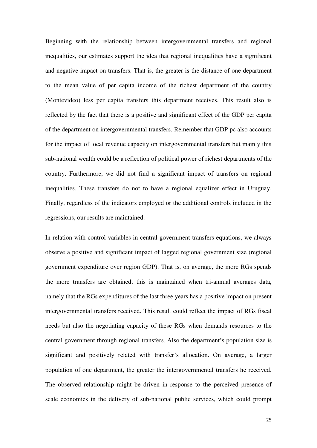Beginning with the relationship between intergovernmental transfers and regional inequalities, our estimates support the idea that regional inequalities have a significant and negative impact on transfers. That is, the greater is the distance of one department to the mean value of per capita income of the richest department of the country (Montevideo) less per capita transfers this department receives. This result also is reflected by the fact that there is a positive and significant effect of the GDP per capita of the department on intergovernmental transfers. Remember that GDP pc also accounts for the impact of local revenue capacity on intergovernmental transfers but mainly this sub-national wealth could be a reflection of political power of richest departments of the country. Furthermore, we did not find a significant impact of transfers on regional inequalities. These transfers do not to have a regional equalizer effect in Uruguay. Finally, regardless of the indicators employed or the additional controls included in the regressions, our results are maintained.

In relation with control variables in central government transfers equations, we always observe a positive and significant impact of lagged regional government size (regional government expenditure over region GDP). That is, on average, the more RGs spends the more transfers are obtained; this is maintained when tri-annual averages data, namely that the RGs expenditures of the last three years has a positive impact on present intergovernmental transfers received. This result could reflect the impact of RGs fiscal needs but also the negotiating capacity of these RGs when demands resources to the central government through regional transfers. Also the department's population size is significant and positively related with transfer's allocation. On average, a larger population of one department, the greater the intergovernmental transfers he received. The observed relationship might be driven in response to the perceived presence of scale economies in the delivery of sub-national public services, which could prompt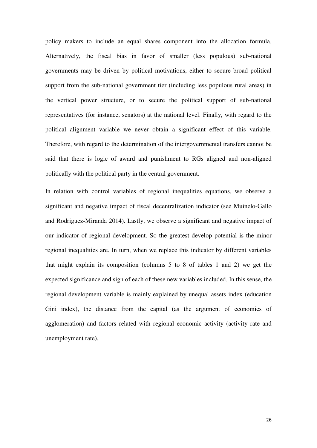policy makers to include an equal shares component into the allocation formula. Alternatively, the fiscal bias in favor of smaller (less populous) sub-national governments may be driven by political motivations, either to secure broad political support from the sub-national government tier (including less populous rural areas) in the vertical power structure, or to secure the political support of sub-national representatives (for instance, senators) at the national level. Finally, with regard to the political alignment variable we never obtain a significant effect of this variable. Therefore, with regard to the determination of the intergovernmental transfers cannot be said that there is logic of award and punishment to RGs aligned and non-aligned politically with the political party in the central government.

In relation with control variables of regional inequalities equations, we observe a significant and negative impact of fiscal decentralization indicator (see Muinelo-Gallo and Rodriguez-Miranda 2014). Lastly, we observe a significant and negative impact of our indicator of regional development. So the greatest develop potential is the minor regional inequalities are. In turn, when we replace this indicator by different variables that might explain its composition (columns 5 to 8 of tables 1 and 2) we get the expected significance and sign of each of these new variables included. In this sense, the regional development variable is mainly explained by unequal assets index (education Gini index), the distance from the capital (as the argument of economies of agglomeration) and factors related with regional economic activity (activity rate and unemployment rate).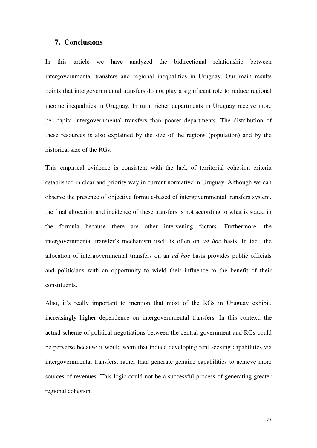#### **7. Conclusions**

In this article we have analyzed the bidirectional relationship between intergovernmental transfers and regional inequalities in Uruguay. Our main results points that intergovernmental transfers do not play a significant role to reduce regional income inequalities in Uruguay. In turn, richer departments in Uruguay receive more per capita intergovernmental transfers than poorer departments. The distribution of these resources is also explained by the size of the regions (population) and by the historical size of the RGs.

This empirical evidence is consistent with the lack of territorial cohesion criteria established in clear and priority way in current normative in Uruguay. Although we can observe the presence of objective formula-based of intergovernmental transfers system, the final allocation and incidence of these transfers is not according to what is stated in the formula because there are other intervening factors. Furthermore, the intergovernmental transfer's mechanism itself is often on *ad hoc* basis. In fact, the allocation of intergovernmental transfers on an *ad hoc* basis provides public officials and politicians with an opportunity to wield their influence to the benefit of their constituents.

Also, it's really important to mention that most of the RGs in Uruguay exhibit, increasingly higher dependence on intergovernmental transfers. In this context, the actual scheme of political negotiations between the central government and RGs could be perverse because it would seem that induce developing rent seeking capabilities via intergovernmental transfers, rather than generate genuine capabilities to achieve more sources of revenues. This logic could not be a successful process of generating greater regional cohesion.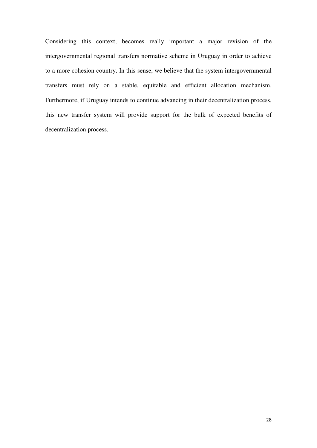Considering this context, becomes really important a major revision of the intergovernmental regional transfers normative scheme in Uruguay in order to achieve to a more cohesion country. In this sense, we believe that the system intergovernmental transfers must rely on a stable, equitable and efficient allocation mechanism. Furthermore, if Uruguay intends to continue advancing in their decentralization process, this new transfer system will provide support for the bulk of expected benefits of decentralization process.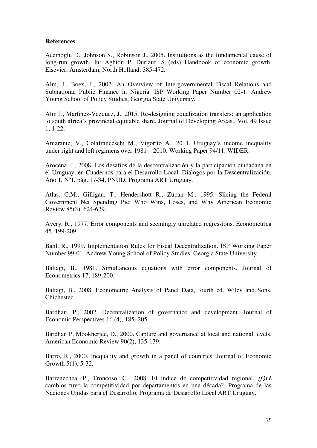#### **References**

Acemoglu D., Johnson S., Robinson J., 2005. Institutions as the fundamental cause of long-run growth. In: Aghion P, Durlauf, S (eds) Handbook of economic growth. Elsevier, Amsterdam, North Holland, 385-472.

Alm, J., Boex, J., 2002. An Overview of Intergovernmental Fiscal Relations and Subnational Public Finance in Nigeria. ISP Working Paper Number 02-1. Andrew Young School of Policy Studies, Georgia State University.

Alm J., Martinez-Vazquez, J., 2015. Re-designing equalization transfers: an application to south africa´s provincial equitable share. Journal of Developing Areas., Vol. 49 Issue 1, 1-22.

Amarante, V., Colafranceschi M., Vigorito A., 2011. Uruguay's income inequality under right and left regimens over 1981 – 2010. Working Paper 94/11. WIDER.

Arocena, J., 2008. Los desafíos de la descentralización y la participación ciudadana en el Uruguay, en Cuadernos para el Desarrollo Local. Diálogos por la Descentralización, Año 1, Nº1, pág. 17-34, PNUD, Programa ART Uruguay.

Atlas, C.M., Gilligan, T., Hendershott R., Zupan M., 1995. Slicing the Federal Government Net Spending Pie: Who Wins, Loses, and Why American Economic Review 85(3), 624-629.

Avery, R., 1977. Error components and seemingly unrelated regressions. Econometrica 45, 199-209.

Bahl, R., 1999. Implementation Rules for Fiscal Decentralization. ISP Working Paper Number 99-01. Andrew Young School of Policy Studies, Georgia State University.

Baltagi, B., 1981. Simultaneous equations with error components. Journal of Econometrics 17, 189-200.

Baltagi, B., 2008. Econometric Analysis of Panel Data, fourth ed. Wiley and Sons, Chichester.

Bardhan, P., 2002. Decentralization of governance and development. Journal of Economic Perspectives 16 (4), 185–205.

Bardhan P, Mookherjee, D., 2000. Capture and governance at local and national levels. American Economic Review 90(2), 135-139.

Barro, R., 2000. Inequality and growth in a panel of countries. Journal of Economic Growth 5(1), 5-32.

Barrenechea, P., Troncoso, C., 2008. El índice de competitividad regional. ¿Qué cambios tuvo la competitividad por departamentos en una década?, Programa de las Naciones Unidas para el Desarrollo, Programa de Desarrollo Local ART Uruguay.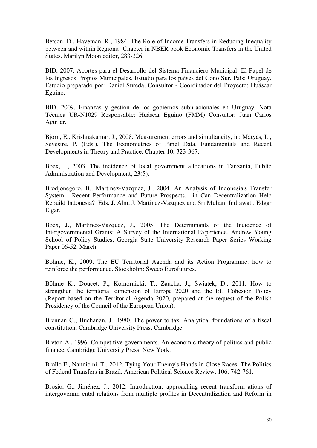Betson, D., Haveman, R., 1984. The Role of Income Transfers in Reducing Inequality between and within Regions. Chapter in NBER book Economic Transfers in the United States. Marilyn Moon editor, 283-326.

BID, 2007. Aportes para el Desarrollo del Sistema Financiero Municipal: El Papel de los Ingresos Propios Municipales. Estudio para los países del Cono Sur. País: Uruguay. Estudio preparado por: Daniel Sureda, Consultor - Coordinador del Proyecto: Huáscar Eguino.

BID, 2009. Finanzas y gestión de los gobiernos subn-acionales en Uruguay. Nota Técnica UR-N1029 Responsable: Huáscar Eguino (FMM) Consultor: Juan Carlos Aguilar.

Bjorn, E., Krishnakumar, J., 2008. Measurement errors and simultaneity, in: Mátyás, L., Sevestre, P. (Eds.), The Econometrics of Panel Data. Fundamentals and Recent Developments in Theory and Practice, Chapter 10, 323-367.

Boex, J., 2003. The incidence of local government allocations in Tanzania, Public Administration and Development, 23(5).

Brodjonegoro, B., Martinez-Vazquez, J., 2004. An Analysis of Indonesia's Transfer System: Recent Performance and Future Prospects. in Can Decentralization Help Rebuild Indonesia? Eds. J. Alm, J. Martinez-Vazquez and Sri Muliani Indrawati. Edgar Elgar.

Boex, J., Martinez-Vazquez, J., 2005. The Determinants of the Incidence of Intergovernmental Grants: A Survey of the International Experience. Andrew Young School of Policy Studies, Georgia State University Research Paper Series Working Paper 06-52. March.

Böhme, K., 2009. The EU Territorial Agenda and its Action Programme: how to reinforce the performance. Stockholm: Sweco Eurofutures.

Böhme K., Doucet, P., Komornicki, T., Zaucha, J., Światek, D., 2011. How to strengthen the territorial dimension of Europe 2020 and the EU Cohesion Policy (Report based on the Territorial Agenda 2020, prepared at the request of the Polish Presidency of the Council of the European Union).

Brennan G., Buchanan, J., 1980. The power to tax. Analytical foundations of a fiscal constitution. Cambridge University Press, Cambridge.

Breton A., 1996. Competitive governments. An economic theory of politics and public finance. Cambridge University Press, New York.

Brollo F., Nannicini, T., 2012. Tying Your Enemy's Hands in Close Races: The Politics of Federal Transfers in Brazil. American Political Science Review, 106, 742-761.

Brosio, G., Jiménez, J., 2012. Introduction: approaching recent transform ations of intergovernm ental relations from multiple profiles in Decentralization and Reform in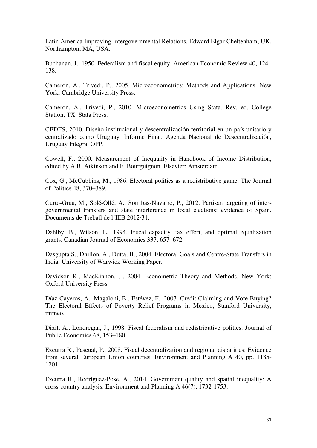Latin America Improving Intergovernmental Relations. Edward Elgar Cheltenham, UK, Northampton, MA, USA.

Buchanan, J., 1950. Federalism and fiscal equity. American Economic Review 40, 124– 138.

Cameron, A., Trivedi, P., 2005. Microeconometrics: Methods and Applications. New York: Cambridge University Press.

Cameron, A., Trivedi, P., 2010. Microeconometrics Using Stata. Rev. ed. College Station, TX: Stata Press.

CEDES, 2010. Diseño institucional y descentralización territorial en un país unitario y centralizado como Uruguay. Informe Final. Agenda Nacional de Descentralización, Uruguay Integra, OPP.

Cowell, F., 2000. Measurement of Inequality in Handbook of Income Distribution, edited by A.B. Atkinson and F. Bourguignon. Elsevier: Amsterdam.

Cox, G., McCubbins, M., 1986. Electoral politics as a redistributive game. The Journal of Politics 48, 370–389.

Curto-Grau, M., Solé-Ollé, A., Sorribas-Navarro, P., 2012. Partisan targeting of intergovernmental transfers and state interference in local elections: evidence of Spain. Documents de Treball de l'IEB 2012/31.

Dahlby, B., Wilson, L., 1994. Fiscal capacity, tax effort, and optimal equalization grants. Canadian Journal of Economics 337, 657–672.

Dasgupta S., Dhillon, A., Dutta, B., 2004. Electoral Goals and Centre-State Transfers in India. University of Warwick Working Paper.

Davidson R., MacKinnon, J., 2004. Econometric Theory and Methods. New York: Oxford University Press.

Díaz-Cayeros, A., Magaloni, B., Estévez, F., 2007. Credit Claiming and Vote Buying? The Electoral Effects of Poverty Relief Programs in Mexico, Stanford University, mimeo.

Dixit, A., Londregan, J., 1998. Fiscal federalism and redistributive politics. Journal of Public Economics 68, 153–180.

Ezcurra R., Pascual, P., 2008. Fiscal decentralization and regional disparities: Evidence from several European Union countries. Environment and Planning A 40, pp. 1185- 1201.

Ezcurra R., Rodríguez-Pose, A., 2014. Government quality and spatial inequality: A cross-country analysis. Environment and Planning A 46(7), 1732-1753.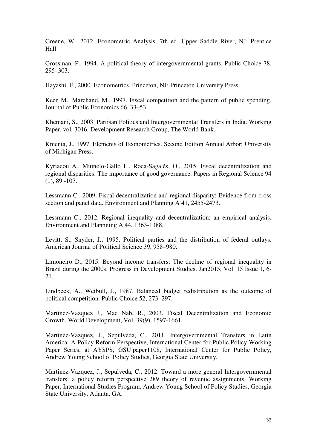Greene, W., 2012. Econometric Analysis. 7th ed. Upper Saddle River, NJ: Prentice Hall.

Grossman, P., 1994. A political theory of intergovernmental grants. Public Choice 78, 295–303.

Hayashi, F., 2000. Econometrics. Princeton, NJ: Princeton University Press.

Keen M., Marchand, M., 1997. Fiscal competition and the pattern of public spending. Journal of Public Economics 66, 33–53.

Khemani, S., 2003. Partisan Politics and Intergovernmental Transfers in India. Working Paper, vol. 3016. Development Research Group, The World Bank.

Kmenta, J., 1997. Elements of Econometrics. Second Edition Annual Arbor: University of Michigan Press.

Kyriacou A., Muinelo-Gallo L., Roca-Sagalés, O., 2015. Fiscal decentralization and regional disparities: The importance of good governance. Papers in Regional Science 94  $(1), 89 - 107.$ 

Lessmann C., 2009. Fiscal decentralization and regional disparity: Evidence from cross section and panel data. Environment and Planning A 41, 2455-2473.

Lessmann C., 2012. Regional inequality and decentralization: an empirical analysis. Environment and Plannning A 44, 1363-1388.

Levitt, S., Snyder, J., 1995. Political parties and the distribution of federal outlays. American Journal of Political Science 39, 958–980.

Limoneiro D., 2015. Beyond income transfers: The decline of regional inequality in Brazil during the 2000s. Progress in Development Studies. Jan2015, Vol. 15 Issue 1, 6- 21.

Lindbeck, A., Weibull, J., 1987. Balanced budget redistribution as the outcome of political competition. Public Choice 52, 273–297.

Martinez-Vazquez J., Mac Nab, R., 2003. Fiscal Decentralization and Economic Growth, World Development, Vol. 39(9), 1597-1661.

Martinez-Vazquez, J., Sepulveda, C., 2011. Intergovernmental Transfers in Latin America: A Policy Reform Perspective, International Center for Public Policy Working Paper Series, at AYSPS, GSU paper1108, International Center for Public Policy, Andrew Young School of Policy Studies, Georgia State University.

Martinez-Vazquez, J., Sepulveda, C., 2012. Toward a more general Intergovernmental transfers: a policy reform perspective 289 theory of revenue assignments, Working Paper, International Studies Program, Andrew Young School of Policy Studies, Georgia State University, Atlanta, GA.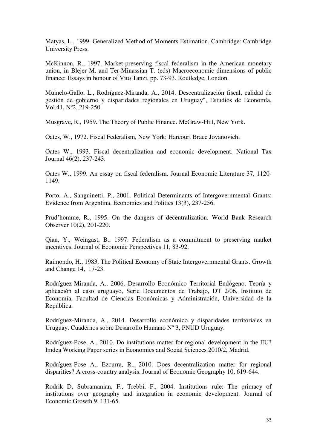Matyas, L., 1999. Generalized Method of Moments Estimation. Cambridge: Cambridge University Press.

McKinnon, R., 1997. Market-preserving fiscal federalism in the American monetary union, in Blejer M. and Ter-Minassian T. (eds) Macroeconomic dimensions of public finance: Essays in honour of Vito Tanzi, pp. 73-93. Routledge, London.

Muinelo-Gallo, L., Rodríguez-Miranda, A., 2014. Descentralización fiscal, calidad de gestión de gobierno y disparidades regionales en Uruguay", Estudios de Economía, Vol.41, Nº2, 219-250.

Musgrave, R., 1959. The Theory of Public Finance. McGraw-Hill, New York.

Oates, W., 1972. Fiscal Federalism, New York: Harcourt Brace Jovanovich.

Oates W., 1993. Fiscal decentralization and economic development. National Tax Journal 46(2), 237-243.

Oates W., 1999. An essay on fiscal federalism. Journal Economic Literature 37, 1120- 1149.

Porto, A., Sanguinetti, P., 2001. Political Determinants of Intergovernmental Grants: Evidence from Argentina. Economics and Politics 13(3), 237-256.

Prud'homme, R., 1995. On the dangers of decentralization. World Bank Research Observer 10(2), 201-220.

Qian, Y., Weingast, B., 1997. Federalism as a commitment to preserving market incentives. Journal of Economic Perspectives 11, 83-92.

Raimondo, H., 1983. The Political Economy of State Intergovernmental Grants. Growth and Change 14, 17-23.

Rodríguez-Miranda, A., 2006. Desarrollo Económico Territorial Endógeno. Teoría y aplicación al caso uruguayo, Serie Documentos de Trabajo, DT 2/06, Instituto de Economía, Facultad de Ciencias Económicas y Administración, Universidad de la República.

Rodríguez-Miranda, A., 2014. Desarrollo económico y disparidades territoriales en Uruguay. Cuadernos sobre Desarrollo Humano Nº 3, PNUD Uruguay.

Rodríguez-Pose, A., 2010. Do institutions matter for regional development in the EU? Imdea Working Paper series in Economics and Social Sciences 2010/2, Madrid.

Rodríguez-Pose A., Ezcurra, R., 2010. Does decentralization matter for regional disparities? A cross-country analysis. Journal of Economic Geography 10, 619-644.

Rodrik D, Subramanian, F., Trebbi, F., 2004. Institutions rule: The primacy of institutions over geography and integration in economic development. Journal of Economic Growth 9, 131-65.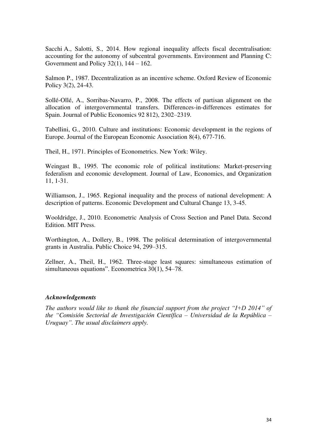Sacchi A., Salotti, S., 2014. How regional inequality affects fiscal decentralisation: accounting for the autonomy of subcentral governments. Environment and Planning C: Government and Policy  $32(1)$ ,  $144 - 162$ .

Salmon P., 1987. Decentralization as an incentive scheme. Oxford Review of Economic Policy 3(2), 24-43.

Sollé-Ollé, A., Sorribas-Navarro, P., 2008. The effects of partisan alignment on the allocation of intergovernmental transfers. Differences-in-differences estimates for Spain. Journal of Public Economics 92 812), 2302–2319.

Tabellini, G., 2010. Culture and institutions: Economic development in the regions of Europe. Journal of the European Economic Association 8(4), 677-716.

Theil, H., 1971. Principles of Econometrics. New York: Wiley.

Weingast B., 1995. The economic role of political institutions: Market-preserving federalism and economic development. Journal of Law, Economics, and Organization 11, 1-31.

Williamson, J., 1965. Regional inequality and the process of national development: A description of patterns. Economic Development and Cultural Change 13, 3-45.

Wooldridge, J., 2010. Econometric Analysis of Cross Section and Panel Data. Second Edition. MIT Press.

Worthington, A., Dollery, B., 1998. The political determination of intergovernmental grants in Australia. Public Choice 94, 299–315.

Zellner, A., Theil, H., 1962. Three-stage least squares: simultaneous estimation of simultaneous equations". Econometrica 30(1), 54–78.

#### *Acknowledgements*

*The authors would like to thank the financial support from the project "I+D 2014" of the "Comisión Sectorial de Investigación Científica – Universidad de la República – Uruguay". The usual disclaimers apply.*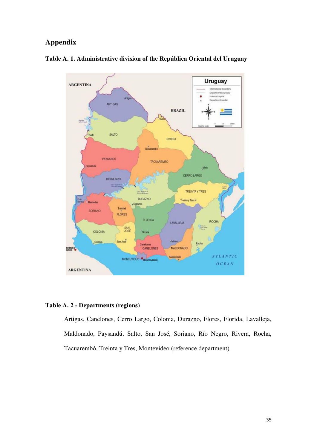# **Appendix**



### **Table A. 1. Administrative division of the República Oriental del Uruguay**

#### **Table A. 2 - Departments (regions)**

Artigas, Canelones, Cerro Largo, Colonia, Durazno, Flores, Florida, Lavalleja, Maldonado, Paysandú, Salto, San José, Soriano, Río Negro, Rivera, Rocha, Tacuarembó, Treinta y Tres, Montevideo (reference department).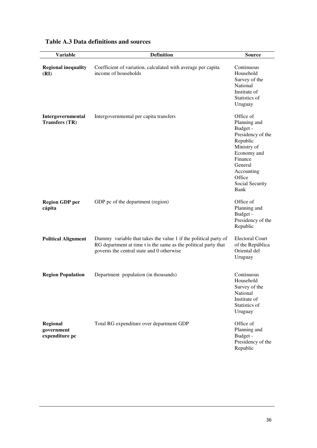| <b>Variable</b>                            | <b>Definition</b>                                                                                                                                                               | <b>Source</b>                                                                                                                                                                 |
|--------------------------------------------|---------------------------------------------------------------------------------------------------------------------------------------------------------------------------------|-------------------------------------------------------------------------------------------------------------------------------------------------------------------------------|
| <b>Regional inequality</b><br>(RI)         | Coefficient of variation, calculated with average per capita<br>income of households                                                                                            | Continuous<br>Household<br>Survey of the<br>National<br>Institute of<br>Statistics of<br>Uruguay                                                                              |
| Intergovernmental<br><b>Transfers (TR)</b> | Intergovernmental per capita transfers                                                                                                                                          | Office of<br>Planning and<br>Budget -<br>Presidency of the<br>Republic<br>Ministry of<br>Economy and<br>Finance<br>General<br>Accounting<br>Office<br>Social Security<br>Bank |
| <b>Region GDP</b> per<br>cápita            | GDP pc of the department (region)                                                                                                                                               | Office of<br>Planning and<br>Budget -<br>Presidency of the<br>Republic                                                                                                        |
| <b>Political Alignment</b>                 | Dummy variable that takes the value 1 if the political party of<br>RG department at time t is the same as the political party that<br>governs the central state and 0 otherwise | <b>Electoral Court</b><br>of the República<br>Oriental del<br>Uruguay                                                                                                         |
| <b>Region Population</b>                   | Department population (in thousands)                                                                                                                                            | Continuous<br>Household<br>Survey of the<br>National<br>Institute of<br>Statistics of<br>Uruguay                                                                              |
| Regional<br>government<br>expenditure pc   | Total RG expenditure over department GDP                                                                                                                                        | Office of<br>Planning and<br>Budget -<br>Presidency of the<br>Republic                                                                                                        |

# **Table A.3 Data definitions and sources**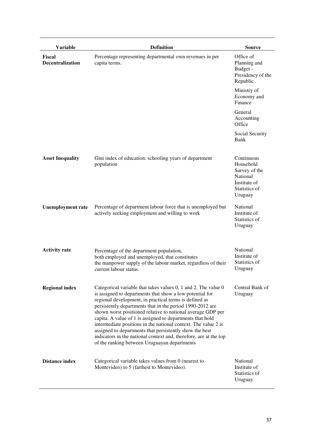| <b>Variable</b>                          | <b>Definition</b>                                                                                                                                                                                                                                                                                                                                                                                                                                                                                                                                                                                                               | <b>Source</b>                                                                                    |
|------------------------------------------|---------------------------------------------------------------------------------------------------------------------------------------------------------------------------------------------------------------------------------------------------------------------------------------------------------------------------------------------------------------------------------------------------------------------------------------------------------------------------------------------------------------------------------------------------------------------------------------------------------------------------------|--------------------------------------------------------------------------------------------------|
| <b>Fiscal</b><br><b>Decentralization</b> | Percentage representing departmental own revenues in per<br>capita terms.                                                                                                                                                                                                                                                                                                                                                                                                                                                                                                                                                       | Office of<br>Planning and<br>Budget -<br>Presidency of the<br>Republic                           |
|                                          |                                                                                                                                                                                                                                                                                                                                                                                                                                                                                                                                                                                                                                 | Ministry of<br>Economy and<br>Finance                                                            |
|                                          |                                                                                                                                                                                                                                                                                                                                                                                                                                                                                                                                                                                                                                 | General<br>Accounting<br>Office                                                                  |
|                                          |                                                                                                                                                                                                                                                                                                                                                                                                                                                                                                                                                                                                                                 | Social Security<br>Bank                                                                          |
| <b>Asset Inequality</b>                  | Gini index of education: schooling years of department<br>population                                                                                                                                                                                                                                                                                                                                                                                                                                                                                                                                                            | Continuous<br>Household<br>Survey of the<br>National<br>Institute of<br>Statistics of<br>Uruguay |
| <b>Unemployment rate</b>                 | Percentage of department labour force that is unemployed but<br>actively seeking employment and willing to work                                                                                                                                                                                                                                                                                                                                                                                                                                                                                                                 | National<br>Institute of<br>Statistics of<br>Uruguay                                             |
| <b>Activity rate</b>                     | Percentage of the department population,<br>both employed and unemployed, that constitutes<br>the manpower supply of the labour market, regardless of their<br>current labour status.                                                                                                                                                                                                                                                                                                                                                                                                                                           | National<br>Institute of<br>Statistics of<br>Uruguay                                             |
| <b>Regional index</b>                    | Categorical variable that takes values 0, 1 and 2. The value 0<br>is assigned to departments that show a low potential for<br>regional development, in practical terms is defined as<br>persistently departments that in the period 1990-2012 are<br>shown worst positioned relative to national average GDP per<br>capita. A value of 1 is assigned to departments that hold<br>intermediate positions in the national context. The value 2 is<br>assigned to departments that persistently show the best<br>indicators in the national context and, therefore, are at the top<br>of the ranking between Uruguayan departments | Central Bank of<br>Uruguay                                                                       |
| <b>Distance index</b>                    | Categorical variable takes values from 0 (nearest to<br>Montevideo) to 5 (farthest to Montevideo).                                                                                                                                                                                                                                                                                                                                                                                                                                                                                                                              | National<br>Institute of<br>Statistics of<br>Uruguay                                             |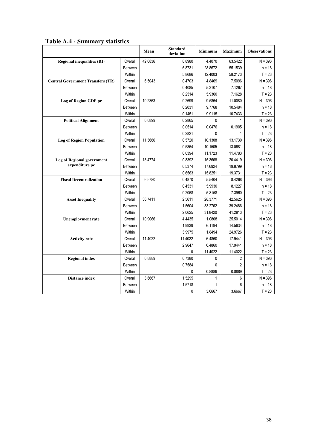|  |  |  |  | Table A.4 - Summary statistics |
|--|--|--|--|--------------------------------|
|--|--|--|--|--------------------------------|

|                                          |                | Mean    | <b>Standard</b><br>deviation | <b>Minimum</b> | <b>Maximum</b> | <b>Observations</b> |
|------------------------------------------|----------------|---------|------------------------------|----------------|----------------|---------------------|
| <b>Regional inequalities (RI)</b>        | Overall        | 42.0836 | 8.8980                       | 4.4070         | 63.5422        | $N = 396$           |
|                                          | <b>Between</b> |         | 6.8731                       | 28.8672        | 55.1539        | $n = 18$            |
|                                          | Within         |         | 5.8686                       | 12.4003        | 58.2173        | $T = 23$            |
| <b>Central Government Transfers (TR)</b> | Overall        | 6.5043  | 0.4703                       | 4.8469         | 7.5096         | $N = 396$           |
|                                          | <b>Between</b> |         | 0.4085                       | 5.3107         | 7.1267         | $n = 18$            |
|                                          | Within         |         | 0.2514                       | 5.9360         | 7.1628         | $T = 23$            |
| Log of Region GDP pc                     | Overall        | 10.2363 | 0.2699                       | 9.5864         | 11.0080        | $N = 396$           |
|                                          | <b>Between</b> |         | 0.2031                       | 9.7768         | 10.5484        | $n = 18$            |
|                                          | Within         |         | 0.1451                       | 9.9115         | 10.7433        | $T = 23$            |
| <b>Political Alignment</b>               | Overall        | 0.0899  | 0.2865                       | 0              | 1              | $N = 396$           |
|                                          | Between        |         | 0.0514                       | 0.0476         | 0.1905         | $n = 18$            |
|                                          | Within         |         | 0.2821                       | 0              | 1              | $T = 23$            |
| <b>Log of Region Population</b>          | Overall        | 11.3686 | 0.5720                       | 10.1308        | 13.1730        | $N = 396$           |
|                                          | <b>Between</b> |         | 0.5864                       | 10.1505        | 13.0681        | $n = 18$            |
|                                          | <b>Within</b>  |         | 0.0394                       | 11.1723        | 11.4783        | $T = 23$            |
| <b>Log of Regional government</b>        | Overall        | 18.4774 | 0.8392                       | 15.3668        | 20.4419        | $N = 396$           |
| expenditure pc                           | Between        |         | 0.5374                       | 17.6924        | 19.8799        | $n = 18$            |
|                                          | Within         |         | 0.6563                       | 15.8251        | 19.3731        | $T = 23$            |
| <b>Fiscal Decentralization</b>           | Overall        | 6.5780  | 0.4870                       | 5.5404         | 8.4268         | $N = 396$           |
|                                          | <b>Between</b> |         | 0.4531                       | 5.9930         | 8.1227         | $n = 18$            |
|                                          | Within         |         | 0.2068                       | 5.8158         | 7.3960         | $T = 23$            |
| <b>Asset Inequality</b>                  | Overall        | 36.7411 | 2.5611                       | 28.3771        | 42.5625        | $N = 396$           |
|                                          | <b>Between</b> |         | 1.5604                       | 33.2762        | 39.2486        | $n = 18$            |
|                                          | <b>Within</b>  |         | 2.0625                       | 31.8420        | 41.2813        | $T = 23$            |
| <b>Unemployment</b> rate                 | Overall        | 10.9066 | 4.4435                       | 1.0808         | 25.5014        | $N = 396$           |
|                                          | <b>Between</b> |         | 1.9939                       | 6.1194         | 14.5634        | $n = 18$            |
|                                          | Within         |         | 3.9975                       | 1.8494         | 24.9726        | $T = 23$            |
| <b>Activity rate</b>                     | Overall        | 11.4022 | 11.4022                      | 6.4860         | 17.9441        | $N = 396$           |
|                                          | Between        |         | 2.9647                       | 6.4860         | 17.9441        | $n = 18$            |
|                                          | Within         |         | 0                            | 11.4022        | 11.4022        | $T = 23$            |
| <b>Regional index</b>                    | Overall        | 0.8889  | 0.7380                       | 0              | 2              | $N = 396$           |
|                                          | Between        |         | 0.7584                       | 0              | 2              | $n = 18$            |
|                                          | Within         |         | 0                            | 0.8889         | 0.8889         | $T = 23$            |
| <b>Distance index</b>                    | Overall        | 3.6667  | 1.5295                       | 1              | 6              | $N = 396$           |
|                                          | Between        |         | 1.5718                       | 1              | 6              | n = 18              |
|                                          | Within         |         | 0                            | 3.6667         | 3.6667         | $T = 23$            |